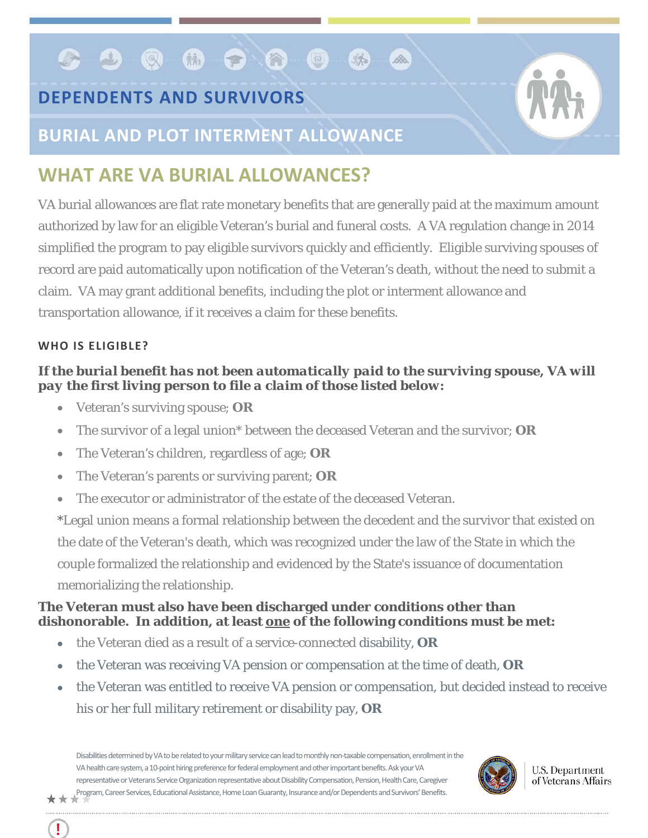# **DEPENDENTS AND SURVIVORS**

**GBQQDQQD** 



### **BURIAL AND PLOT INTERMENT ALLOWANCE**

## **WHAT ARE VA BURIAL ALLOWANCES?**

VA burial allowances are flat rate monetary benefits that are generally paid at the maximum amount authorized by law for an eligible Veteran's burial and funeral costs. A VA regulation change in 2014 simplified the program to pay eligible survivors quickly and efficiently. Eligible surviving spouses of record are paid automatically upon notification of the Veteran's death, without the need to submit a claim. VA may grant additional benefits, including the plot or interment allowance and transportation allowance, if it receives a claim for these benefits.

麻

 $\mathscr{L}$ 

#### **WHO IS ELIGIBLE?**

#### *If the burial benefit has not been automatically paid to the surviving spouse, VA will pay the first living person to file a claim of those listed below:*

- Veteran's surviving spouse; **OR**
- The survivor of a legal union\* between the deceased Veteran and the survivor; **OR**
- The Veteran's children, regardless of age; **OR**
- The Veteran's parents or surviving parent; **OR**
- The executor or administrator of the estate of the deceased Veteran.

\*Legal union means a formal relationship between the decedent and the survivor that existed on the date of the Veteran's death, which was recognized under the law of the State in which the couple formalized the relationship and evidenced by the State's issuance of documentation memorializing the relationship.

#### **The Veteran must also have been discharged under conditions other than dishonorable. In addition, at least one of the following conditions must be met:**

- the Veteran died as a result of a service-connected disability, **OR**
- the Veteran was receiving VA pension or compensation at the time of death, **OR**
- the Veteran was entitled to receive VA pension or compensation, but decided instead to receive his or her full military retirement or disability pay, **OR**

Disabilities determined byVA to be related to your military service can lead to monthly non-taxable compensation, enrollment in the VA health care system, a 10-point hiring preference for federal employment and other important benefits. Ask your VA representative or Veterans Service Organization representative about Disability Compensation, Pension, Health Care, Caregiver Program, Career Services, Educational Assistance, Home Loan Guaranty, Insurance and/or Dependents and Survivors' Benefits.



**U.S. Department** of Veterans Affairs

Ţ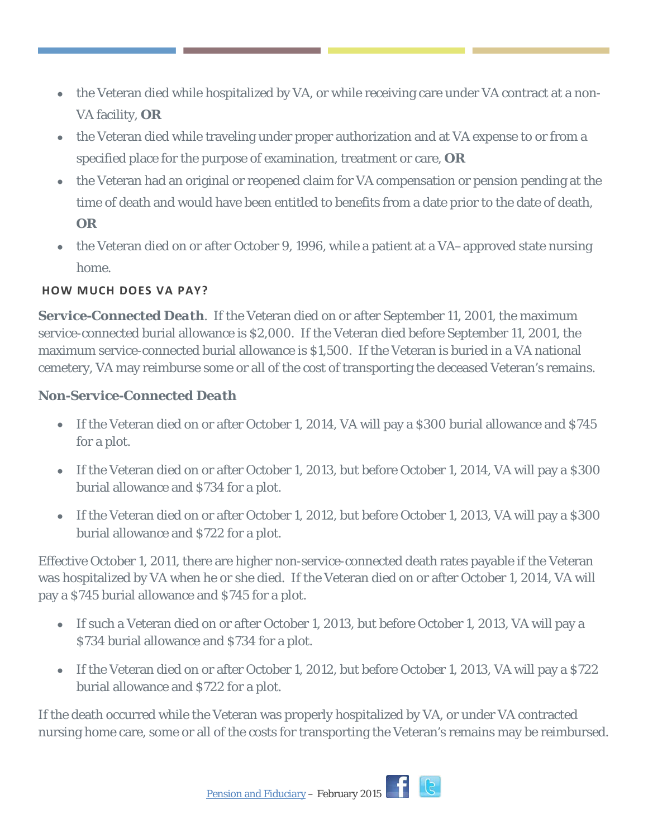- the Veteran died while hospitalized by VA, or while receiving care under VA contract at a non-VA facility, **OR**
- the Veteran died while traveling under proper authorization and at VA expense to or from a specified place for the purpose of examination, treatment or care, **OR**
- the Veteran had an original or reopened claim for VA compensation or pension pending at the time of death and would have been entitled to benefits from a date prior to the date of death, **OR**
- the Veteran died on or after October 9, 1996, while a patient at a VA–approved state nursing home.

#### **HOW MUCH DOES VA PAY?**

*Service-Connected Death*. If the Veteran died on or after September 11, 2001, the maximum service-connected burial allowance is \$2,000. If the Veteran died before September 11, 2001, the maximum service-connected burial allowance is \$1,500. If the Veteran is buried in a VA national cemetery, VA may reimburse some or all of the cost of transporting the deceased Veteran's remains.

#### *Non-Service-Connected Death*

- If the Veteran died on or after October 1, 2014, VA will pay a \$300 burial allowance and \$745 for a plot.
- If the Veteran died on or after October 1, 2013, but before October 1, 2014, VA will pay a \$300 burial allowance and \$734 for a plot.
- If the Veteran died on or after October 1, 2012, but before October 1, 2013, VA will pay a \$300 burial allowance and \$722 for a plot.

Effective October 1, 2011, there are higher non-service-connected death rates payable if the Veteran was hospitalized by VA when he or she died. If the Veteran died on or after October 1, 2014, VA will pay a \$745 burial allowance and \$745 for a plot.

- If such a Veteran died on or after October 1, 2013, but before October 1, 2013, VA will pay a \$734 burial allowance and \$734 for a plot.
- If the Veteran died on or after October 1, 2012, but before October 1, 2013, VA will pay a \$722 burial allowance and \$722 for a plot.

If the death occurred while the Veteran was properly hospitalized by VA, or under VA contracted nursing home care, some or all of the costs for transporting the Veteran's remains may be reimbursed.